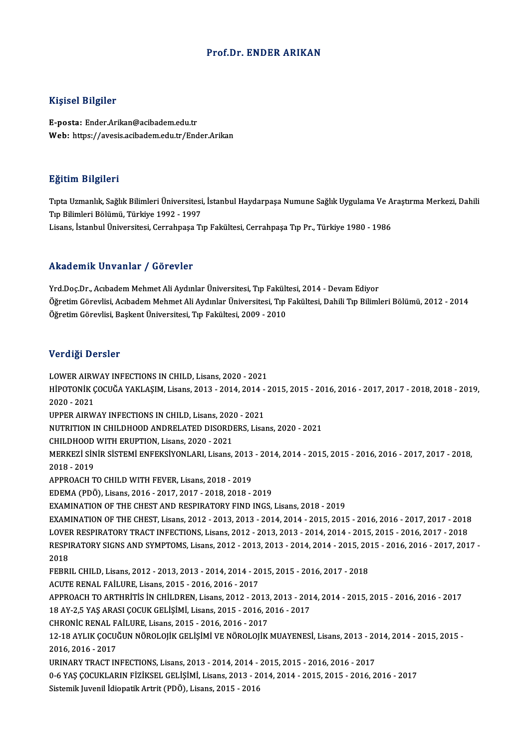## Prof.Dr. ENDER ARIKAN

## Kişisel Bilgiler

E-posta: Ender.Arikan@acibadem.edu.tr Web: https://avesis.acibadem.edu.tr/Ender.Arikan

#### Eğitim Bilgileri

**Eğitim Bilgileri**<br>Tıpta Uzmanlık, Sağlık Bilimleri Üniversitesi, İstanbul Haydarpaşa Numune Sağlık Uygulama Ve Araştırma Merkezi, Dahili<br>Tıp Bilimleri Bölümü, Türkiye 1992, 1997 1911 - 1919<br>Tıpta Uzmanlık, Sağlık Bilimleri Üniversitesi<br>Tıp Bilimleri Bölümü, Türkiye 1992 - 1997<br>Lisans, İstanbul Üniversitesi, Cerrahnasa Tı Tıp Bilimleri Bölümü, Türkiye 1992 - 1997<br>Lisans, İstanbul Üniversitesi, Cerrahpaşa Tıp Fakültesi, Cerrahpaşa Tıp Pr., Türkiye 1980 - 1986

#### Akademik Unvanlar / Görevler

Yrd.Doc.Dr., Acıbadem Mehmet Ali Aydınlar Üniversitesi, Tıp Fakültesi, 2014 - Devam Ediyor Öğretim Görevlisi, Acıbadem Mehmet Ali Aydınlar Üniversitesi, Tıp Fakültesi, Dahili Tıp Bilimleri Bölümü, 2012 - 2014 ÖğretimGörevlisi,BaşkentÜniversitesi,Tıp Fakültesi,2009 -2010

#### Verdiği Dersler

LOWER AIRWAY INFECTIONS IN CHILD, Lisans, 2020 - 2021 VOLGIST DOLOIST<br>LOWER AIRWAY INFECTIONS IN CHILD, Lisans, 2020 - 2021<br>HİPOTONİK ÇOCUĞA YAKLAŞIM, Lisans, 2013 - 2014, 2014 - 2015, 2015 - 2016, 2016 - 2017, 2017 - 2018, 2018 - 2019, LOWER AIR<mark>W</mark><br>HİPOTONİK Ç<br>2020 - 2021<br>UPPER AIRW HİPOTONİK ÇOCUĞA YAKLAŞIM, Lisans, 2013 - 2014, 2014 -<br>2020 - 2021<br>UPPER AIRWAY INFECTIONS IN CHILD, Lisans, 2020 - 2021<br>NUTPUTION IN CHILDHOOD ANDRELATED DISORDERS, Lisa 2020 - 2021<br>UPPER AIRWAY INFECTIONS IN CHILD, Lisans, 2020 - 2021<br>NUTRITION IN CHILDHOOD ANDRELATED DISORDERS, Lisans, 2020 - 2021 UPPER AIRWAY INFECTIONS IN CHILD, Lisans, 2020 - 2021 MERKEZİ SİNİR SİSTEMİ ENFEKSİYONLARI, Lisans, 2013 - 2014, 2014 - 2015, 2015 - 2016, 2016 - 2017, 2017 - 2018,<br>2018 - 2019 CHILDHOOD WITH ERUPTION, Lisans, 2020 - 2021 MERKEZİ SİNİR SİSTEMİ ENFEKSİYONLARI, Lisans, 2013<br>2018 - 2019<br>APPROACH TO CHILD WITH FEVER, Lisans, 2018 - 2019<br>EDEMA (PDÖ), Lisans, 2016 - 2017, 2017, 2018, 2019 2018 - 2019<br>APPROACH TO CHILD WITH FEVER, Lisans, 2018 - 2019<br>EDEMA (PDÖ), Lisans, 2016 - 2017, 2017 - 2018, 2018 - 2019<br>EXAMINATION OF THE CHEST AND RESBIRATORY FIND INCS EDEMA (PDÖ), Lisans, 2016 - 2017, 2017 - 2018, 2018 - 2019<br>EXAMINATION OF THE CHEST AND RESPIRATORY FIND INGS, Lisans, 2018 - 2019 EDEMA (PDÖ), Lisans, 2016 - 2017, 2017 - 2018, 2018 - 2019<br>EXAMINATION OF THE CHEST AND RESPIRATORY FIND INGS, Lisans, 2018 - 2019<br>EXAMINATION OF THE CHEST, Lisans, 2012 - 2013, 2013 - 2014, 2014 - 2015, 2015 - 2016, 2016 EXAMINATION OF THE CHEST AND RESPIRATORY FIND INGS, Lisans, 2018 - 2019<br>EXAMINATION OF THE CHEST, Lisans, 2012 - 2013, 2013 - 2014, 2014 - 2015, 2015 - 2016, 2016 - 2017, 2017 - 2018<br>LOVER RESPIRATORY TRACT INFECTIONS, Lis EXAMINATION OF THE CHEST, Lisans, 2012 - 2013, 2013 - 2014, 2014 - 2015, 2015 - 2016, 2016 - 2017, 2017 - 2018<br>LOVER RESPIRATORY TRACT INFECTIONS, Lisans, 2012 - 2013, 2013 - 2014, 2014 - 2015, 2015 - 2016, 2017 - 2018<br>RES LOVER RESPIRATORY TRACT INFECTIONS, Lisans, 2012 - 2013, 2013 - 2014, 2014 - 2015, 2015 - 2016, 2017 - 2018<br>RESPIRATORY SIGNS AND SYMPTOMS, Lisans, 2012 - 2013, 2013 - 2014, 2014 - 2015, 2015 - 2016, 2016 - 2017, 201<br>2018 RESPIRATORY SIGNS AND SYMPTOMS, Lisans, 2012 - 2013, 2013 - 2014, 2014 - 2015, 2015 - 2016, 2016 - 2017, 2017 -<br>2018<br>FEBRIL CHILD, Lisans, 2012 - 2013, 2013 - 2014, 2014 - 2015, 2015 - 2016, 2017 - 2018<br>ACUTE RENAL FAİLURE FEBRIL CHILD, Lisans, 2012 - 2013, 2013 - 2014, 2014 - 2015, 2015 - 2016, 2017 - 2018 FEBRIL CHILD, Lisans, 2012 - 2013, 2013 - 2014, 2014 - 2015, 2015 - 2016, 2017 - 2018<br>ACUTE RENAL FAİLURE, Lisans, 2015 - 2016, 2016 - 2017<br>APPROACH TO ARTHRİTİS İN CHİLDREN, Lisans, 2012 - 2013, 2013 - 2014, 2014 - 2015, ACUTE RENAL FAİLURE, Lisans, 2015 - 2016, 2016 - 2017<br>APPROACH TO ARTHRİTİS İN CHİLDREN, Lisans, 2012 - 2013, 2013 - 201<br>18 AY-2,5 YAŞ ARASI ÇOCUK GELİŞİMİ, Lisans, 2015 - 2016, 2016 - 2017<br>CHRONİC RENAL FAİLURE Lisans, 20 APPROACH TO ARTHRITIS IN CHILDREN, Lisans, 2012 - 2013<br>18 AY-2,5 YAŞ ARASI ÇOCUK GELİŞİMİ, Lisans, 2015 - 2016, 2<br>CHRONİC RENAL FAİLURE, Lisans, 2015 - 2016, 2016 - 2017<br>12 19 AYUK COCUĞUN NÖROLOUK CELİSİMİ VE NÖROLOUK 18 AY-2,5 YAŞ ARASI ÇOCUK GELİŞİMİ, Lisans, 2015 - 2016, 2016 - 2017<br>CHRONİC RENAL FAİLURE, Lisans, 2015 - 2016, 2016 - 2017<br>12-18 AYLIK ÇOCUĞUN NÖROLOJİK GELİŞİMİ VE NÖROLOJİK MUAYENESİ, Lisans, 2013 - 2014, 2014 - 2015, CHRONIC RENAL F.<br>12-18 AYLIK ÇOCU<br>2016, 2016 - 2017<br>UPINAPY TRACT IN 12-18 AYLIK ÇOCUĞUN NÖROLOJİK GELİŞİMİ VE NÖROLOJİK MUAYENESİ, Lisans, 2013 - 20<br>2016, 2016 - 2017<br>URINARY TRACT INFECTIONS, Lisans, 2013 - 2014, 2014 - 2015, 2015 - 2016, 2016 - 2017<br>0 6 YAS COCUVI ARIN FİZİKSEL CELİSİMİ 2016, 2016 - 2017<br>URINARY TRACT INFECTIONS, Lisans, 2013 - 2014, 2014 - 2015, 2015 - 2016, 2016 - 2017<br>0-6 YAŞ ÇOCUKLARIN FİZİKSEL GELİŞİMİ, Lisans, 2013 - 2014, 2014 - 2015, 2015 - 2016, 2016 - 2017 Sistemik Juvenil İdiopatik Artrit (PDÖ), Lisans, 2015 - 2016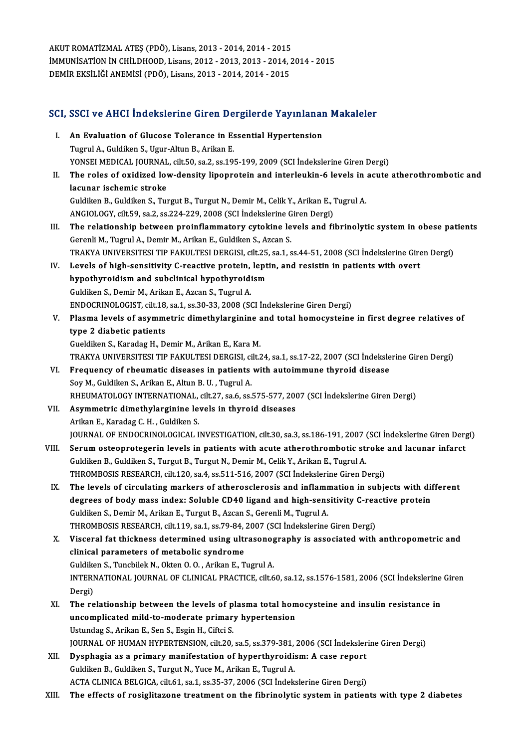AKUT ROMATİZMAL ATEŞ (PDÖ), Lisans, 2013 - 2014, 2014 - 2015<br>İMMUNİSATİON İN CHİLDHOOD Lisans, 2013 - 2013, 2013 - 2014, 2 IMMUNISATION IN CHILDHOOD, Lisans, 2012 - 2013, 2013 - 2014, 2014 - 2015<br>DEMIR EKSILIĞI ANEMISI (PDÖ), Lisans, 2013 - 2014, 2014 - 2015 AKUT ROMATİZMAL ATEŞ (PDÖ), Lisans, 2013 - 2014, 2014 - 2015<br>İMMUNİSATİON İN CHİLDHOOD, Lisans, 2012 - 2013, 2013 - 2014, .<br>DEMİR EKSİLİĞİ ANEMİSİ (PDÖ), Lisans, 2013 - 2014, 2014 - 2015

# DEMIR ERSILIGI ANEMISI (PDO), LISANS, 2013 - 2014, 2014 - 2015<br>SCI, SSCI ve AHCI İndekslerine Giren Dergilerde Yayınlanan Makaleler

|       | SCI, SSCI ve AHCI İndekslerine Giren Dergilerde Yayınlanan Makaleler                                                                                                                       |
|-------|--------------------------------------------------------------------------------------------------------------------------------------------------------------------------------------------|
| L.    | An Evaluation of Glucose Tolerance in Essential Hypertension<br>Tugrul A., Guldiken S., Ugur-Altun B., Arikan E.                                                                           |
|       | YONSEI MEDICAL JOURNAL, cilt.50, sa.2, ss.195-199, 2009 (SCI Indekslerine Giren Dergi)                                                                                                     |
| П.    | The roles of oxidized low-density lipoprotein and interleukin-6 levels in acute atherothrombotic and                                                                                       |
|       | lacunar ischemic stroke                                                                                                                                                                    |
|       | Guldiken B., Guldiken S., Turgut B., Turgut N., Demir M., Celik Y., Arikan E., Tugrul A.                                                                                                   |
|       | ANGIOLOGY, cilt 59, sa.2, ss.224-229, 2008 (SCI İndekslerine Giren Dergi)                                                                                                                  |
| III.  | The relationship between proinflammatory cytokine levels and fibrinolytic system in obese patients                                                                                         |
|       | Gerenli M., Tugrul A., Demir M., Arikan E., Guldiken S., Azcan S.                                                                                                                          |
|       | TRAKYA UNIVERSITESI TIP FAKULTESI DERGISI, cilt.25, sa.1, ss.44-51, 2008 (SCI İndekslerine Giren Dergi)                                                                                    |
| IV.   | Levels of high-sensitivity C-reactive protein, leptin, and resistin in patients with overt                                                                                                 |
|       | hypothyroidism and subclinical hypothyroidism                                                                                                                                              |
|       | Guldiken S., Demir M., Arikan E., Azcan S., Tugrul A.                                                                                                                                      |
|       | ENDOCRINOLOGIST, cilt.18, sa.1, ss.30-33, 2008 (SCI İndekslerine Giren Dergi)                                                                                                              |
| V.    | Plasma levels of asymmetric dimethylarginine and total homocysteine in first degree relatives of                                                                                           |
|       | type 2 diabetic patients                                                                                                                                                                   |
|       | Gueldiken S., Karadag H., Demir M., Arikan E., Kara M.                                                                                                                                     |
|       | TRAKYA UNIVERSITESI TIP FAKULTESI DERGISI, cilt.24, sa.1, ss.17-22, 2007 (SCI İndekslerine Giren Dergi)                                                                                    |
| VI.   | Frequency of rheumatic diseases in patients with autoimmune thyroid disease                                                                                                                |
|       | Soy M., Guldiken S., Arikan E., Altun B. U., Tugrul A.                                                                                                                                     |
|       | RHEUMATOLOGY INTERNATIONAL, cilt.27, sa.6, ss.575-577, 2007 (SCI İndekslerine Giren Dergi)                                                                                                 |
| VII.  | Asymmetric dimethylarginine levels in thyroid diseases                                                                                                                                     |
|       | Arikan E., Karadag C. H., Guldiken S.                                                                                                                                                      |
|       | JOURNAL OF ENDOCRINOLOGICAL INVESTIGATION, cilt.30, sa.3, ss.186-191, 2007 (SCI İndekslerine Giren Dergi)                                                                                  |
| VIII. | Serum osteoprotegerin levels in patients with acute atherothrombotic stroke and lacunar infarct                                                                                            |
|       | Guldiken B., Guldiken S., Turgut B., Turgut N., Demir M., Celik Y., Arikan E., Tugrul A.                                                                                                   |
|       | THROMBOSIS RESEARCH, cilt.120, sa.4, ss.511-516, 2007 (SCI İndekslerine Giren Dergi)                                                                                                       |
| IX.   | The levels of circulating markers of atherosclerosis and inflammation in subjects with different                                                                                           |
|       | degrees of body mass index: Soluble CD40 ligand and high-sensitivity C-reactive protein                                                                                                    |
|       | Guldiken S., Demir M., Arikan E., Turgut B., Azcan S., Gerenli M., Tugrul A.                                                                                                               |
|       | THROMBOSIS RESEARCH, cilt.119, sa.1, ss.79-84, 2007 (SCI İndekslerine Giren Dergi)                                                                                                         |
| X.    | Visceral fat thickness determined using ultrasonography is associated with anthropometric and                                                                                              |
|       | clinical parameters of metabolic syndrome                                                                                                                                                  |
|       | Guldiken S., Tuncbilek N., Okten O. O., Arikan E., Tugrul A.                                                                                                                               |
|       | INTERNATIONAL JOURNAL OF CLINICAL PRACTICE, cilt.60, sa.12, ss.1576-1581, 2006 (SCI İndekslerine Giren                                                                                     |
|       | Dergi)                                                                                                                                                                                     |
| XI.   | The relationship between the levels of plasma total homocysteine and insulin resistance in                                                                                                 |
|       | uncomplicated mild-to-moderate primary hypertension                                                                                                                                        |
|       | Ustundag S., Arikan E., Sen S., Esgin H., Ciftci S.                                                                                                                                        |
|       | JOURNAL OF HUMAN HYPERTENSION, cilt.20, sa.5, ss.379-381, 2006 (SCI İndekslerine Giren Dergi)                                                                                              |
| XII.  | Dysphagia as a primary manifestation of hyperthyroidism: A case report                                                                                                                     |
|       | Guldiken B., Guldiken S., Turgut N., Yuce M., Arikan E., Tugrul A.                                                                                                                         |
| VIII  | ACTA CLINICA BELGICA, cilt.61, sa.1, ss.35-37, 2006 (SCI Indekslerine Giren Dergi)<br>The effects of resiglitars to treatment on the fibricalitie system in patients with type 2 displates |

XIII. The effects of rosiglitazone treatment on the fibrinolytic system in patients with type 2 diabetes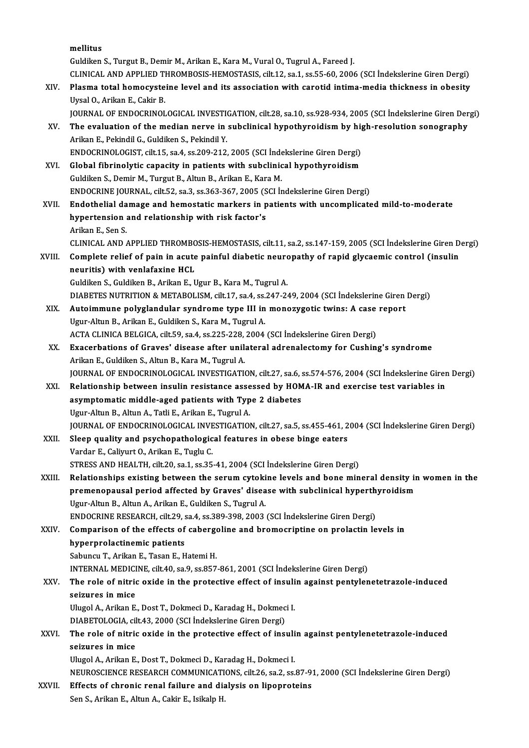|        | mellitus                                                                                                                                    |
|--------|---------------------------------------------------------------------------------------------------------------------------------------------|
|        | Guldiken S., Turgut B., Demir M., Arikan E., Kara M., Vural O., Tugrul A., Fareed J.                                                        |
|        | CLINICAL AND APPLIED THROMBOSIS-HEMOSTASIS, cilt.12, sa.1, ss.55-60, 2006 (SCI Indekslerine Giren Dergi)                                    |
| XIV.   | Plasma total homocysteine level and its association with carotid intima-media thickness in obesity                                          |
|        | Uysal O., Arikan E., Cakir B.                                                                                                               |
|        | JOURNAL OF ENDOCRINOLOGICAL INVESTIGATION, cilt.28, sa.10, ss.928-934, 2005 (SCI İndekslerine Giren Dergi)                                  |
| XV.    | The evaluation of the median nerve in subclinical hypothyroidism by high-resolution sonography                                              |
|        | Arikan E., Pekindil G., Guldiken S., Pekindil Y.                                                                                            |
|        | ENDOCRINOLOGIST, cilt.15, sa.4, ss.209-212, 2005 (SCI İndekslerine Giren Dergi)                                                             |
| XVI.   | Global fibrinolytic capacity in patients with subclinical hypothyroidism                                                                    |
|        | Guldiken S., Demir M., Turgut B., Altun B., Arikan E., Kara M.                                                                              |
|        | ENDOCRINE JOURNAL, cilt.52, sa.3, ss.363-367, 2005 (SCI Indekslerine Giren Dergi)                                                           |
| XVII.  | Endothelial damage and hemostatic markers in patients with uncomplicated mild-to-moderate                                                   |
|        | hypertension and relationship with risk factor's                                                                                            |
|        | Arikan E, Sen S.                                                                                                                            |
|        | CLINICAL AND APPLIED THROMBOSIS-HEMOSTASIS, cilt.11, sa.2, ss.147-159, 2005 (SCI Indekslerine Giren Dergi)                                  |
| XVIII. | Complete relief of pain in acute painful diabetic neuropathy of rapid glycaemic control (insulin                                            |
|        | neuritis) with venlafaxine HCL                                                                                                              |
|        | Guldiken S., Guldiken B., Arikan E., Ugur B., Kara M., Tugrul A.                                                                            |
|        | DIABETES NUTRITION & METABOLISM, cilt.17, sa.4, ss.247-249, 2004 (SCI Indekslerine Giren Dergi)                                             |
| XIX.   | Autoimmune polyglandular syndrome type III in monozygotic twins: A case report<br>Ugur-Altun B., Arikan E., Guldiken S., Kara M., Tugrul A. |
|        | ACTA CLINICA BELGICA, cilt.59, sa.4, ss.225-228, 2004 (SCI İndekslerine Giren Dergi)                                                        |
| XX.    | Exacerbations of Graves' disease after unilateral adrenalectomy for Cushing's syndrome                                                      |
|        | Arikan E., Guldiken S., Altun B., Kara M., Tugrul A.                                                                                        |
|        | JOURNAL OF ENDOCRINOLOGICAL INVESTIGATION, cilt.27, sa.6, ss.574-576, 2004 (SCI Indekslerine Giren Dergi)                                   |
| XXI.   | Relationship between insulin resistance assessed by HOMA-IR and exercise test variables in                                                  |
|        | asymptomatic middle-aged patients with Type 2 diabetes                                                                                      |
|        | Ugur-Altun B., Altun A., Tatli E., Arikan E., Tugrul A.                                                                                     |
|        | JOURNAL OF ENDOCRINOLOGICAL INVESTIGATION, cilt.27, sa.5, ss.455-461, 2004 (SCI Indekslerine Giren Dergi)                                   |
| XXII.  | Sleep quality and psychopathological features in obese binge eaters                                                                         |
|        | Vardar E., Caliyurt O., Arikan E., Tuglu C.                                                                                                 |
|        | STRESS AND HEALTH, cilt.20, sa.1, ss.35-41, 2004 (SCI Indekslerine Giren Dergi)                                                             |
| XXIII. | Relationships existing between the serum cytokine levels and bone mineral density in women in the                                           |
|        | premenopausal period affected by Graves' disease with subclinical hyperthyroidism                                                           |
|        | Ugur-Altun B., Altun A., Arikan E., Guldiken S., Tugrul A.                                                                                  |
|        | ENDOCRINE RESEARCH, cilt.29, sa.4, ss.389-398, 2003 (SCI İndekslerine Giren Dergi)                                                          |
| XXIV.  | Comparison of the effects of cabergoline and bromocriptine on prolactin levels in<br>hyperprolactinemic patients                            |
|        | Sabuncu T., Arikan E., Tasan E., Hatemi H.                                                                                                  |
|        | INTERNAL MEDICINE, cilt.40, sa.9, ss.857-861, 2001 (SCI İndekslerine Giren Dergi)                                                           |
| XXV.   | The role of nitric oxide in the protective effect of insulin against pentylenetetrazole-induced                                             |
|        | seizures in mice                                                                                                                            |
|        | Ulugol A., Arikan E., Dost T., Dokmeci D., Karadag H., Dokmeci I.                                                                           |
|        | DIABETOLOGIA, cilt.43, 2000 (SCI İndekslerine Giren Dergi)                                                                                  |
| XXVI.  | The role of nitric oxide in the protective effect of insulin against pentylenetetrazole-induced                                             |
|        | seizures in mice                                                                                                                            |
|        | Ulugol A., Arikan E., Dost T., Dokmeci D., Karadag H., Dokmeci I.                                                                           |
|        | NEUROSCIENCE RESEARCH COMMUNICATIONS, cilt.26, sa.2, ss.87-91, 2000 (SCI Indekslerine Giren Dergi)                                          |
| XXVII. | Effects of chronic renal failure and dialysis on lipoproteins                                                                               |
|        | Sen S., Arikan E., Altun A., Cakir E., Isikalp H.                                                                                           |
|        |                                                                                                                                             |